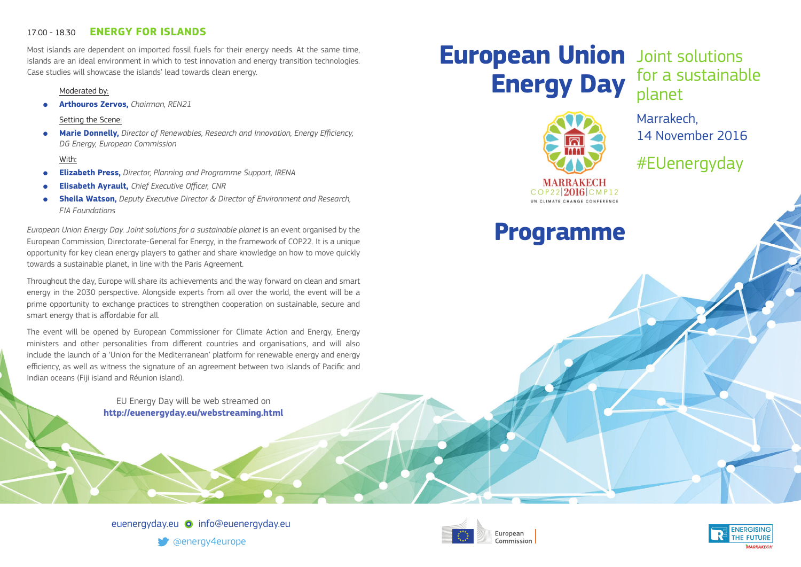# 17.00 - 18.30 **ENERGY FOR ISLANDS**

Most islands are dependent on imported fossil fuels for their energy needs. At the same time, islands are an ideal environment in which to test innovation and energy transition technologies. Case studies will showcase the islands' lead towards clean energy.

#### Moderated by:

● **Arthouros Zervos,** *Chairman, REN21*

#### Setting the Scene:

● **Marie Donnelly,** *Director of Renewables, Research and Innovation, Energy Efficiency, DG Energy, European Commission*

### With:

- **Elizabeth Press,** *Director, Planning and Programme Support, IRENA*
- **Elisabeth Ayrault,** *Chief Executive Officer, CNR*
- **Sheila Watson,** Deputy Executive Director & Director of Environment and Research, *FIA Foundations*

*European Union Energy Day. Joint solutions for a sustainable planet* is an event organised by the European Commission, Directorate-General for Energy, in the framework of COP22. It is a unique opportunity for key clean energy players to gather and share knowledge on how to move quickly towards a sustainable planet, in line with the Paris Agreement.

Throughout the day, Europe will share its achievements and the way forward on clean and smart energy in the 2030 perspective. Alongside experts from all over the world, the event will be a prime opportunity to exchange practices to strengthen cooperation on sustainable, secure and smart energy that is affordable for all.

The event will be opened by European Commissioner for Climate Action and Energy, Energy ministers and other personalities from different countries and organisations, and will also include the launch of a 'Union for the Mediterranean' platform for renewable energy and energy efficiency, as well as witness the signature of an agreement between two islands of Pacific and Indian oceans (Fiji island and Réunion island).

> EU Energy Day will be web streamed on **http://euenergyday.eu/webstreaming.html**

# **European Union** Joint solutions **Energy Day**

for a sustainable planet

Marrakech, 14 November 2016

#EUenergyday

# **Programme**

COP22 2016 CMP12 UN CLIMATE CHANGE CONFERENCE